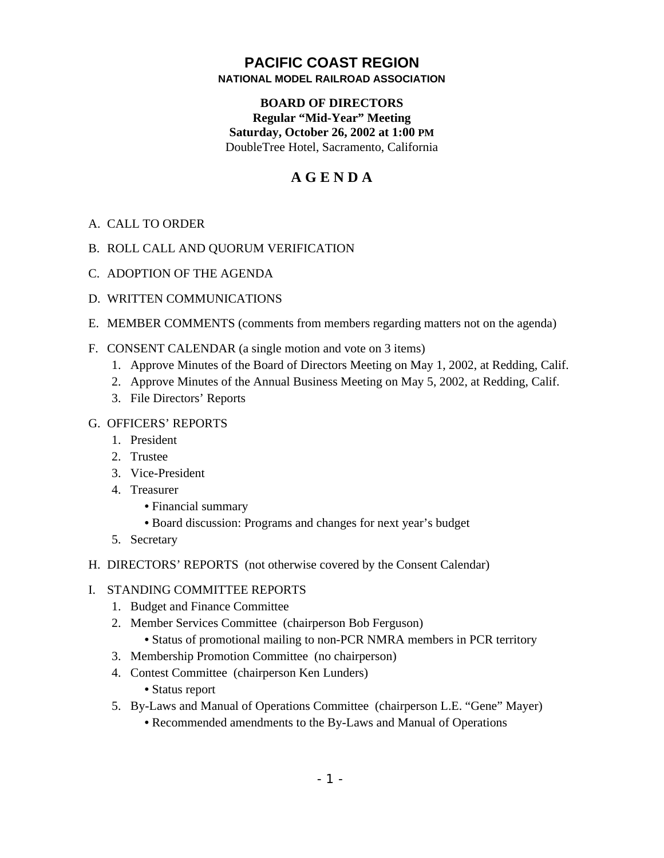# **PACIFIC COAST REGION NATIONAL MODEL RAILROAD ASSOCIATION**

# **BOARD OF DIRECTORS Regular "Mid-Year" Meeting Saturday, October 26, 2002 at 1:00 PM** DoubleTree Hotel, Sacramento, California

# **A G E N D A**

- A. CALL TO ORDER
- B. ROLL CALL AND QUORUM VERIFICATION
- C. ADOPTION OF THE AGENDA
- D. WRITTEN COMMUNICATIONS
- E. MEMBER COMMENTS (comments from members regarding matters not on the agenda)
- F. CONSENT CALENDAR (a single motion and vote on 3 items)
	- 1. Approve Minutes of the Board of Directors Meeting on May 1, 2002, at Redding, Calif.
	- 2. Approve Minutes of the Annual Business Meeting on May 5, 2002, at Redding, Calif.
	- 3. File Directors' Reports

## G. OFFICERS' REPORTS

- 1. President
- 2. Trustee
- 3. Vice-President
- 4. Treasurer
	- **•** Financial summary
	- **•** Board discussion: Programs and changes for next year's budget
- 5. Secretary
- H. DIRECTORS' REPORTS (not otherwise covered by the Consent Calendar)

### I. STANDING COMMITTEE REPORTS

- 1. Budget and Finance Committee
- 2. Member Services Committee (chairperson Bob Ferguson)
	- **•** Status of promotional mailing to non-PCR NMRA members in PCR territory
- 3. Membership Promotion Committee (no chairperson)
- 4. Contest Committee (chairperson Ken Lunders)
	- **•** Status report
- 5. By-Laws and Manual of Operations Committee (chairperson L.E. "Gene" Mayer)
	- **•** Recommended amendments to the By-Laws and Manual of Operations